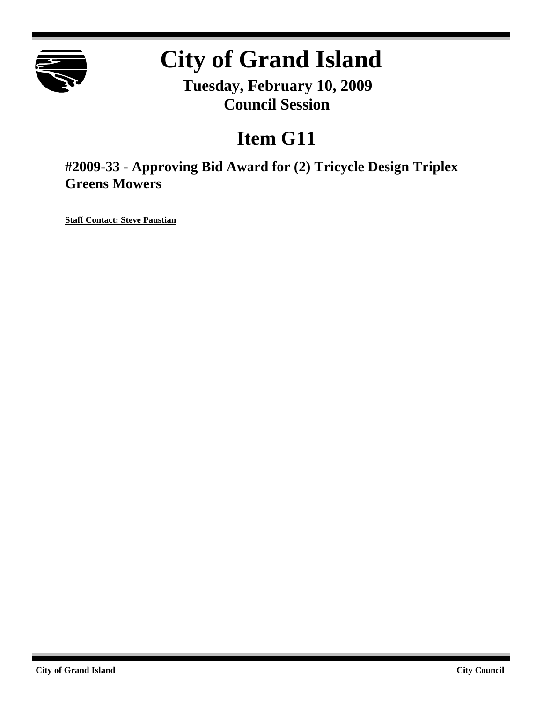

# **City of Grand Island**

**Tuesday, February 10, 2009 Council Session**

# **Item G11**

**#2009-33 - Approving Bid Award for (2) Tricycle Design Triplex Greens Mowers**

**Staff Contact: Steve Paustian**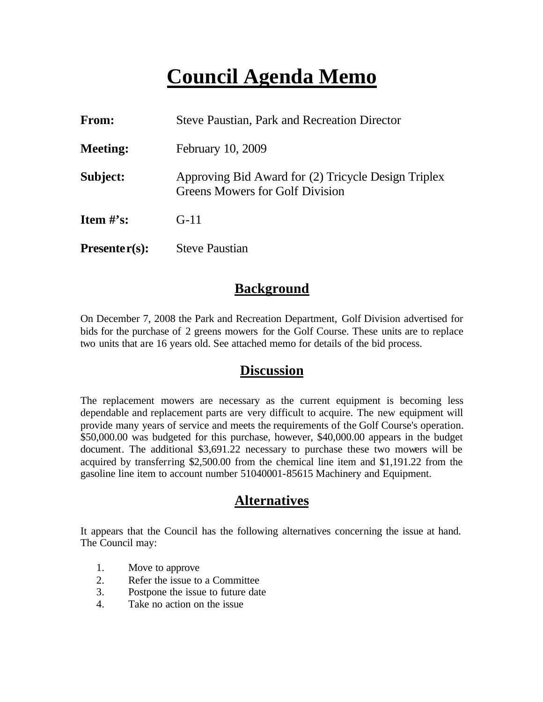# **Council Agenda Memo**

| <b>From:</b>    | <b>Steve Paustian, Park and Recreation Director</b>                                           |
|-----------------|-----------------------------------------------------------------------------------------------|
| <b>Meeting:</b> | February 10, 2009                                                                             |
| Subject:        | Approving Bid Award for (2) Tricycle Design Triplex<br><b>Greens Mowers for Golf Division</b> |
| Item $#$ 's:    | $G-11$                                                                                        |
| $Presenter(s):$ | <b>Steve Paustian</b>                                                                         |

#### **Background**

On December 7, 2008 the Park and Recreation Department, Golf Division advertised for bids for the purchase of 2 greens mowers for the Golf Course. These units are to replace two units that are 16 years old. See attached memo for details of the bid process.

#### **Discussion**

The replacement mowers are necessary as the current equipment is becoming less dependable and replacement parts are very difficult to acquire. The new equipment will provide many years of service and meets the requirements of the Golf Course's operation. \$50,000.00 was budgeted for this purchase, however, \$40,000.00 appears in the budget document. The additional \$3,691.22 necessary to purchase these two mowers will be acquired by transferring \$2,500.00 from the chemical line item and \$1,191.22 from the gasoline line item to account number 51040001-85615 Machinery and Equipment.

## **Alternatives**

It appears that the Council has the following alternatives concerning the issue at hand. The Council may:

- 1. Move to approve
- 2. Refer the issue to a Committee
- 3. Postpone the issue to future date
- 4. Take no action on the issue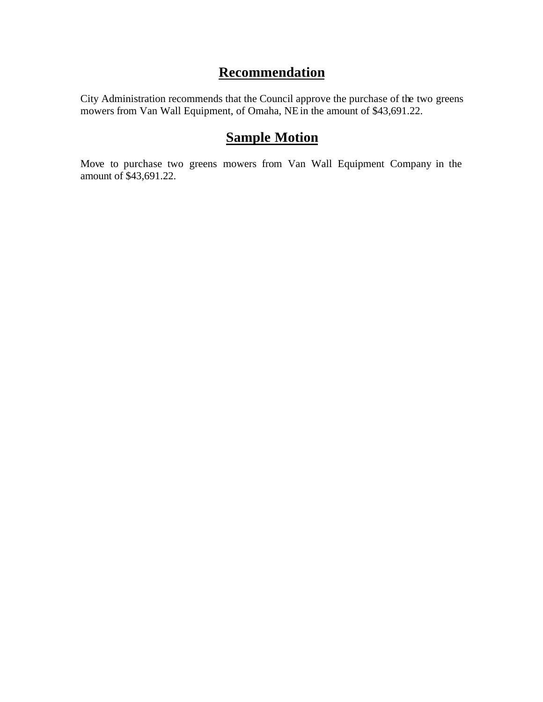### **Recommendation**

City Administration recommends that the Council approve the purchase of the two greens mowers from Van Wall Equipment, of Omaha, NE in the amount of \$43,691.22.

## **Sample Motion**

Move to purchase two greens mowers from Van Wall Equipment Company in the amount of \$43,691.22.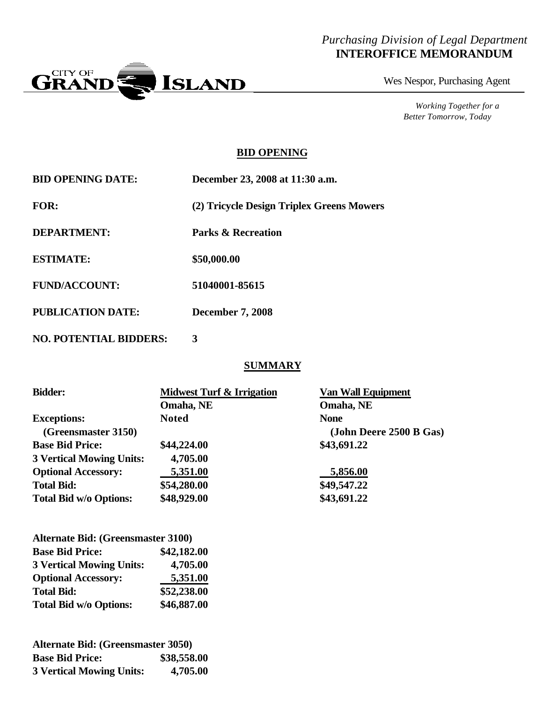#### *Purchasing Division of Legal Department* **INTEROFFICE MEMORANDUM**



Wes Nespor, Purchasing Agent

*Working Together for a Better Tomorrow, Today*

#### **BID OPENING**

| <b>BID OPENING DATE:</b>      | December 23, 2008 at 11:30 a.m.           |  |
|-------------------------------|-------------------------------------------|--|
| <b>FOR:</b>                   | (2) Tricycle Design Triplex Greens Mowers |  |
| <b>DEPARTMENT:</b>            | <b>Parks &amp; Recreation</b>             |  |
| <b>ESTIMATE:</b>              | \$50,000.00                               |  |
| <b>FUND/ACCOUNT:</b>          | 51040001-85615                            |  |
| <b>PUBLICATION DATE:</b>      | <b>December 7, 2008</b>                   |  |
| <b>NO. POTENTIAL BIDDERS:</b> | 3                                         |  |

#### **SUMMARY**

| <b>Midwest Turf &amp; Irrigation</b> | <b>Van Wall Equipment</b> |
|--------------------------------------|---------------------------|
| Omaha, NE                            | Omaha, NE                 |
| <b>Noted</b>                         | <b>None</b>               |
|                                      | (John Deere 2500 B Gas)   |
| \$44,224.00                          | \$43,691.22               |
| 4,705.00                             |                           |
| 5,351.00                             | 5,856.00                  |
| \$54,280.00                          | \$49,547.22               |
| \$48,929.00                          | \$43,691.22               |
|                                      |                           |

| <b>Alternate Bid: (Greensmaster 3100)</b> |             |  |
|-------------------------------------------|-------------|--|
| <b>Base Bid Price:</b>                    | \$42,182.00 |  |
| <b>3 Vertical Mowing Units:</b>           | 4,705.00    |  |
| <b>Optional Accessory:</b>                | 5,351.00    |  |
| <b>Total Bid:</b>                         | \$52,238.00 |  |
| <b>Total Bid w/o Options:</b>             | \$46,887.00 |  |

| <b>Alternate Bid: (Greensmaster 3050)</b> |             |  |
|-------------------------------------------|-------------|--|
| <b>Base Bid Price:</b>                    | \$38,558.00 |  |
| <b>3 Vertical Mowing Units:</b>           | 4,705.00    |  |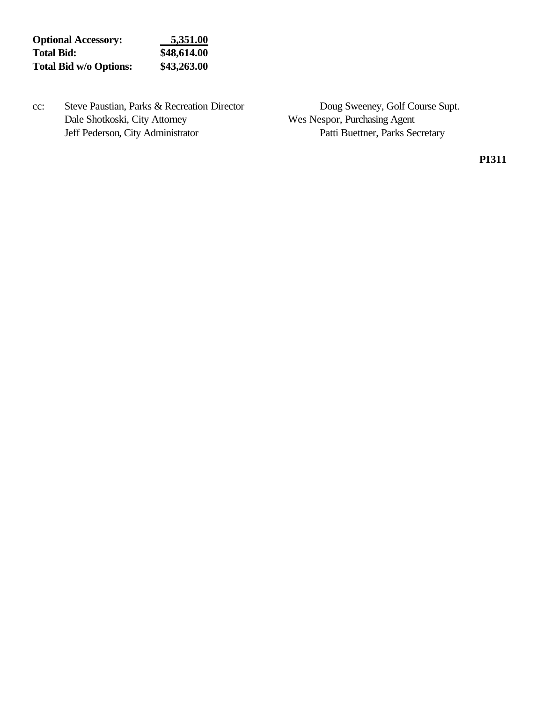| <b>Optional Accessory:</b>    | 5,351.00    |
|-------------------------------|-------------|
| <b>Total Bid:</b>             | \$48,614.00 |
| <b>Total Bid w/o Options:</b> | \$43,263.00 |

cc: Steve Paustian, Parks & Recreation Director Doug Sweeney, Golf Course Supt.<br>Dale Shotkoski, City Attorney Wes Nespor, Purchasing Agent Jeff Pederson, City Administrator Patti Buettner, Parks Secretary

Wes Nespor, Purchasing Agent

**P1311**